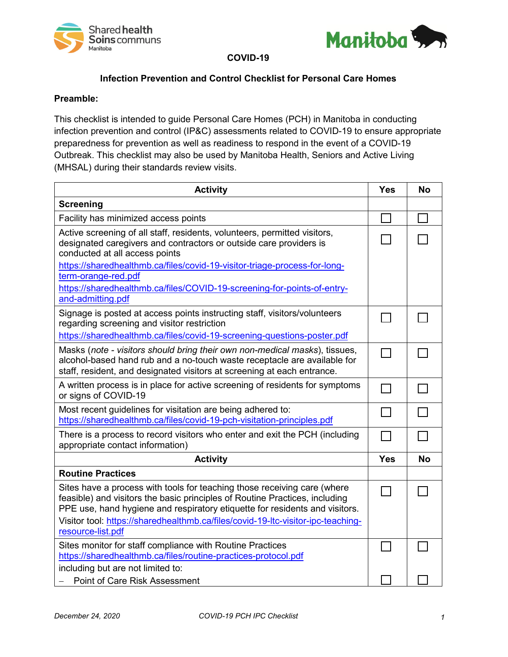



**COVID-19**

## **Infection Prevention and Control Checklist for Personal Care Homes**

## **Preamble:**

This checklist is intended to guide Personal Care Homes (PCH) in Manitoba in conducting infection prevention and control (IP&C) assessments related to COVID-19 to ensure appropriate preparedness for prevention as well as readiness to respond in the event of a COVID-19 Outbreak. This checklist may also be used by Manitoba Health, Seniors and Active Living (MHSAL) during their standards review visits.

| <b>Activity</b>                                                                                                                                                                                                                        | <b>Yes</b> | <b>No</b> |
|----------------------------------------------------------------------------------------------------------------------------------------------------------------------------------------------------------------------------------------|------------|-----------|
| <b>Screening</b>                                                                                                                                                                                                                       |            |           |
| Facility has minimized access points                                                                                                                                                                                                   |            |           |
| Active screening of all staff, residents, volunteers, permitted visitors,<br>designated caregivers and contractors or outside care providers is<br>conducted at all access points                                                      |            |           |
| https://sharedhealthmb.ca/files/covid-19-visitor-triage-process-for-long-<br>term-orange-red.pdf                                                                                                                                       |            |           |
| https://sharedhealthmb.ca/files/COVID-19-screening-for-points-of-entry-<br>and-admitting.pdf                                                                                                                                           |            |           |
| Signage is posted at access points instructing staff, visitors/volunteers<br>regarding screening and visitor restriction                                                                                                               |            |           |
| https://sharedhealthmb.ca/files/covid-19-screening-questions-poster.pdf                                                                                                                                                                |            |           |
| Masks (note - visitors should bring their own non-medical masks), tissues,<br>alcohol-based hand rub and a no-touch waste receptacle are available for<br>staff, resident, and designated visitors at screening at each entrance.      |            |           |
| A written process is in place for active screening of residents for symptoms<br>or signs of COVID-19                                                                                                                                   |            |           |
| Most recent guidelines for visitation are being adhered to:<br>https://sharedhealthmb.ca/files/covid-19-pch-visitation-principles.pdf                                                                                                  |            |           |
| There is a process to record visitors who enter and exit the PCH (including<br>appropriate contact information)                                                                                                                        |            |           |
| <b>Activity</b>                                                                                                                                                                                                                        | <b>Yes</b> | <b>No</b> |
| <b>Routine Practices</b>                                                                                                                                                                                                               |            |           |
| Sites have a process with tools for teaching those receiving care (where<br>feasible) and visitors the basic principles of Routine Practices, including<br>PPE use, hand hygiene and respiratory etiquette for residents and visitors. |            |           |
| Visitor tool: https://sharedhealthmb.ca/files/covid-19-ltc-visitor-ipc-teaching-<br>resource-list.pdf                                                                                                                                  |            |           |
| Sites monitor for staff compliance with Routine Practices<br>https://sharedhealthmb.ca/files/routine-practices-protocol.pdf                                                                                                            |            |           |
| including but are not limited to:<br><b>Point of Care Risk Assessment</b>                                                                                                                                                              |            |           |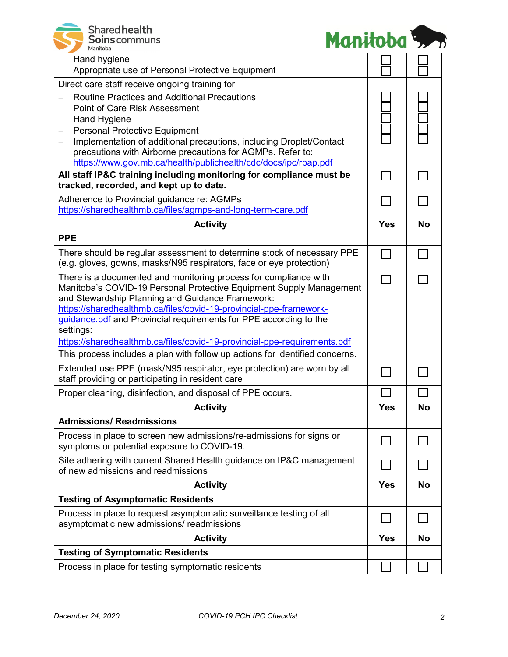



 $\mathbf{I}$ 

| Hand hygiene<br>Appropriate use of Personal Protective Equipment                                                                              |              |           |
|-----------------------------------------------------------------------------------------------------------------------------------------------|--------------|-----------|
| Direct care staff receive ongoing training for<br><b>Routine Practices and Additional Precautions</b>                                         |              |           |
| <b>Point of Care Risk Assessment</b>                                                                                                          |              |           |
| <b>Hand Hygiene</b><br>$\overline{\phantom{m}}$                                                                                               |              |           |
| <b>Personal Protective Equipment</b><br>Implementation of additional precautions, including Droplet/Contact<br>$\overline{\phantom{m}}$       |              |           |
| precautions with Airborne precautions for AGMPs. Refer to:                                                                                    |              |           |
| https://www.gov.mb.ca/health/publichealth/cdc/docs/ipc/rpap.pdf<br>All staff IP&C training including monitoring for compliance must be        |              |           |
| tracked, recorded, and kept up to date.                                                                                                       |              |           |
| Adherence to Provincial guidance re: AGMPs                                                                                                    |              |           |
| https://sharedhealthmb.ca/files/agmps-and-long-term-care.pdf                                                                                  |              |           |
| <b>Activity</b>                                                                                                                               | <b>Yes</b>   | <b>No</b> |
| <b>PPE</b>                                                                                                                                    |              |           |
| There should be regular assessment to determine stock of necessary PPE<br>(e.g. gloves, gowns, masks/N95 respirators, face or eye protection) |              |           |
| There is a documented and monitoring process for compliance with<br>Manitoba's COVID-19 Personal Protective Equipment Supply Management       |              |           |
| and Stewardship Planning and Guidance Framework:                                                                                              |              |           |
| https://sharedhealthmb.ca/files/covid-19-provincial-ppe-framework-                                                                            |              |           |
| guidance.pdf and Provincial requirements for PPE according to the<br>settings:                                                                |              |           |
| https://sharedhealthmb.ca/files/covid-19-provincial-ppe-requirements.pdf                                                                      |              |           |
| This process includes a plan with follow up actions for identified concerns.                                                                  |              |           |
| Extended use PPE (mask/N95 respirator, eye protection) are worn by all<br>staff providing or participating in resident care                   |              |           |
| Proper cleaning, disinfection, and disposal of PPE occurs.                                                                                    |              |           |
| <b>Activity</b>                                                                                                                               | <b>Yes</b>   | <b>No</b> |
| <b>Admissions/ Readmissions</b>                                                                                                               |              |           |
| Process in place to screen new admissions/re-admissions for signs or<br>symptoms or potential exposure to COVID-19.                           |              |           |
| Site adhering with current Shared Health guidance on IP&C management<br>of new admissions and readmissions                                    |              |           |
| <b>Activity</b>                                                                                                                               | <b>Yes</b>   | <b>No</b> |
| <b>Testing of Asymptomatic Residents</b>                                                                                                      |              |           |
| Process in place to request asymptomatic surveillance testing of all<br>asymptomatic new admissions/ readmissions                             | $\mathbf{I}$ |           |
| <b>Activity</b>                                                                                                                               | <b>Yes</b>   | <b>No</b> |
| <b>Testing of Symptomatic Residents</b>                                                                                                       |              |           |
| Process in place for testing symptomatic residents                                                                                            |              |           |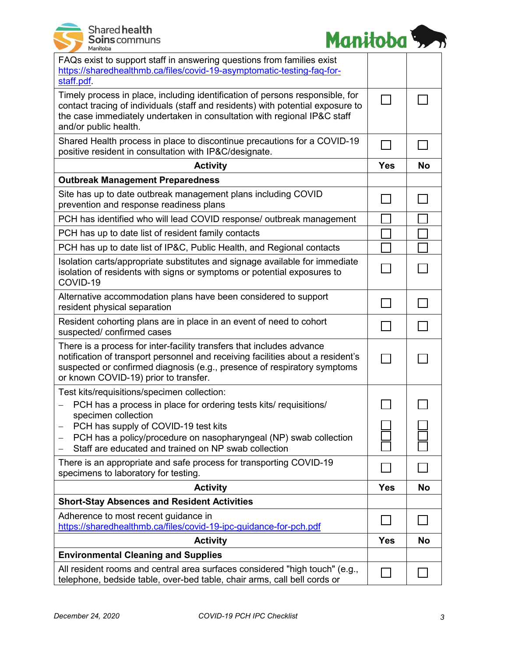



| FAQs exist to support staff in answering questions from families exist<br>https://sharedhealthmb.ca/files/covid-19-asymptomatic-testing-faq-for-<br>staff.pdf.                                                                                                                |                          |           |
|-------------------------------------------------------------------------------------------------------------------------------------------------------------------------------------------------------------------------------------------------------------------------------|--------------------------|-----------|
| Timely process in place, including identification of persons responsible, for<br>contact tracing of individuals (staff and residents) with potential exposure to<br>the case immediately undertaken in consultation with regional IP&C staff<br>and/or public health.         | $\blacksquare$           |           |
| Shared Health process in place to discontinue precautions for a COVID-19<br>positive resident in consultation with IP&C/designate.                                                                                                                                            | $\blacksquare$           |           |
| <b>Activity</b>                                                                                                                                                                                                                                                               | <b>Yes</b>               | No        |
| <b>Outbreak Management Preparedness</b>                                                                                                                                                                                                                                       |                          |           |
| Site has up to date outbreak management plans including COVID<br>prevention and response readiness plans                                                                                                                                                                      | $\Box$                   |           |
| PCH has identified who will lead COVID response/ outbreak management                                                                                                                                                                                                          |                          |           |
| PCH has up to date list of resident family contacts                                                                                                                                                                                                                           |                          |           |
| PCH has up to date list of IP&C, Public Health, and Regional contacts                                                                                                                                                                                                         |                          |           |
| Isolation carts/appropriate substitutes and signage available for immediate<br>isolation of residents with signs or symptoms or potential exposures to<br>COVID-19                                                                                                            |                          |           |
| Alternative accommodation plans have been considered to support<br>resident physical separation                                                                                                                                                                               |                          |           |
| Resident cohorting plans are in place in an event of need to cohort<br>suspected/ confirmed cases                                                                                                                                                                             |                          |           |
| There is a process for inter-facility transfers that includes advance<br>notification of transport personnel and receiving facilities about a resident's<br>suspected or confirmed diagnosis (e.g., presence of respiratory symptoms<br>or known COVID-19) prior to transfer. | $\overline{\phantom{a}}$ |           |
| Test kits/requisitions/specimen collection:<br>PCH has a process in place for ordering tests kits/ requisitions/                                                                                                                                                              |                          |           |
| specimen collection<br>PCH has supply of COVID-19 test kits<br>PCH has a policy/procedure on nasopharyngeal (NP) swab collection<br>Staff are educated and trained on NP swab collection                                                                                      |                          |           |
| There is an appropriate and safe process for transporting COVID-19<br>specimens to laboratory for testing.                                                                                                                                                                    |                          |           |
| <b>Activity</b>                                                                                                                                                                                                                                                               | <b>Yes</b>               | <b>No</b> |
| <b>Short-Stay Absences and Resident Activities</b>                                                                                                                                                                                                                            |                          |           |
| Adherence to most recent guidance in<br>https://sharedhealthmb.ca/files/covid-19-ipc-guidance-for-pch.pdf                                                                                                                                                                     |                          |           |
| <b>Activity</b>                                                                                                                                                                                                                                                               | <b>Yes</b>               | <b>No</b> |
| <b>Environmental Cleaning and Supplies</b>                                                                                                                                                                                                                                    |                          |           |
| All resident rooms and central area surfaces considered "high touch" (e.g.,<br>telephone, bedside table, over-bed table, chair arms, call bell cords or                                                                                                                       |                          |           |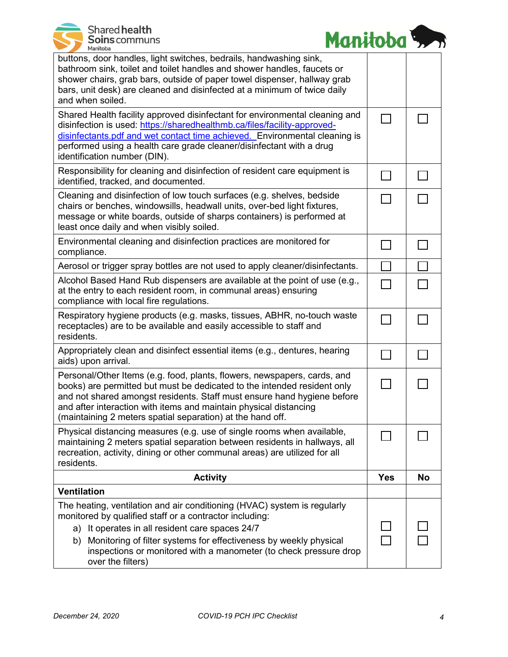| Shared health<br>Soins communs<br>Manitoba |  |
|--------------------------------------------|--|
|                                            |  |



| buttons, door handles, light switches, bedrails, handwashing sink,<br>bathroom sink, toilet and toilet handles and shower handles, faucets or<br>shower chairs, grab bars, outside of paper towel dispenser, hallway grab<br>bars, unit desk) are cleaned and disinfected at a minimum of twice daily<br>and when soiled.                                          |                |           |
|--------------------------------------------------------------------------------------------------------------------------------------------------------------------------------------------------------------------------------------------------------------------------------------------------------------------------------------------------------------------|----------------|-----------|
| Shared Health facility approved disinfectant for environmental cleaning and<br>disinfection is used: https://sharedhealthmb.ca/files/facility-approved-<br>disinfectants.pdf and wet contact time achieved. Environmental cleaning is<br>performed using a health care grade cleaner/disinfectant with a drug<br>identification number (DIN).                      | $\Box$         |           |
| Responsibility for cleaning and disinfection of resident care equipment is<br>identified, tracked, and documented.                                                                                                                                                                                                                                                 | $\mathcal{L}$  |           |
| Cleaning and disinfection of low touch surfaces (e.g. shelves, bedside<br>chairs or benches, windowsills, headwall units, over-bed light fixtures,<br>message or white boards, outside of sharps containers) is performed at<br>least once daily and when visibly soiled.                                                                                          | $\Box$         |           |
| Environmental cleaning and disinfection practices are monitored for<br>compliance.                                                                                                                                                                                                                                                                                 | $\sim 10$      |           |
| Aerosol or trigger spray bottles are not used to apply cleaner/disinfectants.                                                                                                                                                                                                                                                                                      |                |           |
| Alcohol Based Hand Rub dispensers are available at the point of use (e.g.,<br>at the entry to each resident room, in communal areas) ensuring<br>compliance with local fire regulations.                                                                                                                                                                           | $\mathbf{I}$   |           |
| Respiratory hygiene products (e.g. masks, tissues, ABHR, no-touch waste<br>receptacles) are to be available and easily accessible to staff and<br>residents.                                                                                                                                                                                                       | $\sim$         |           |
| Appropriately clean and disinfect essential items (e.g., dentures, hearing<br>aids) upon arrival.                                                                                                                                                                                                                                                                  | $\sim$         |           |
| Personal/Other Items (e.g. food, plants, flowers, newspapers, cards, and<br>books) are permitted but must be dedicated to the intended resident only<br>and not shared amongst residents. Staff must ensure hand hygiene before<br>and after interaction with items and maintain physical distancing<br>(maintaining 2 meters spatial separation) at the hand off. | $\blacksquare$ |           |
| Physical distancing measures (e.g. use of single rooms when available,<br>maintaining 2 meters spatial separation between residents in hallways, all<br>recreation, activity, dining or other communal areas) are utilized for all<br>residents.                                                                                                                   |                |           |
| <b>Activity</b>                                                                                                                                                                                                                                                                                                                                                    | <b>Yes</b>     | <b>No</b> |
| <b>Ventilation</b>                                                                                                                                                                                                                                                                                                                                                 |                |           |
| The heating, ventilation and air conditioning (HVAC) system is regularly<br>monitored by qualified staff or a contractor including:<br>It operates in all resident care spaces 24/7<br>a)<br>Monitoring of filter systems for effectiveness by weekly physical<br>b)<br>inspections or monitored with a manometer (to check pressure drop<br>over the filters)     |                |           |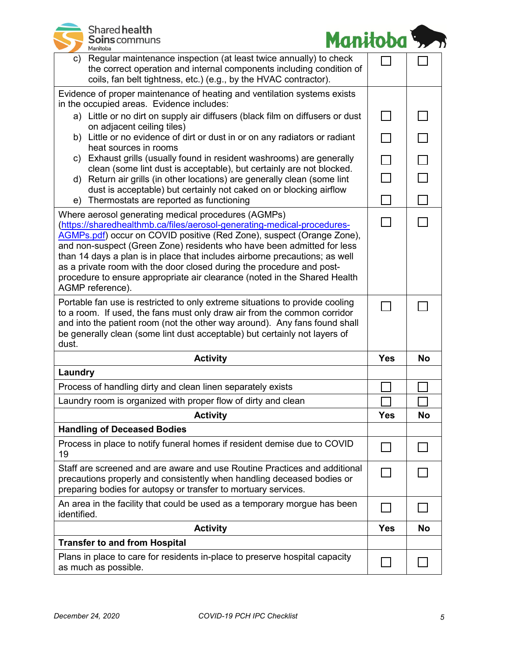| Shared health<br><b>Soins</b> communs<br>Manitoba                                                                                                                                                                                                                                                                                                                                                                                                                                                                                          | Manitoba 5. |              |
|--------------------------------------------------------------------------------------------------------------------------------------------------------------------------------------------------------------------------------------------------------------------------------------------------------------------------------------------------------------------------------------------------------------------------------------------------------------------------------------------------------------------------------------------|-------------|--------------|
| Regular maintenance inspection (at least twice annually) to check<br>C)<br>the correct operation and internal components including condition of<br>coils, fan belt tightness, etc.) (e.g., by the HVAC contractor).                                                                                                                                                                                                                                                                                                                        |             |              |
| Evidence of proper maintenance of heating and ventilation systems exists                                                                                                                                                                                                                                                                                                                                                                                                                                                                   |             |              |
| in the occupied areas. Evidence includes:<br>a) Little or no dirt on supply air diffusers (black film on diffusers or dust                                                                                                                                                                                                                                                                                                                                                                                                                 | $\Box$      |              |
| on adjacent ceiling tiles)<br>b) Little or no evidence of dirt or dust in or on any radiators or radiant<br>heat sources in rooms                                                                                                                                                                                                                                                                                                                                                                                                          | П           |              |
| c) Exhaust grills (usually found in resident washrooms) are generally                                                                                                                                                                                                                                                                                                                                                                                                                                                                      | $\Box$      | $\Box$       |
| clean (some lint dust is acceptable), but certainly are not blocked.<br>Return air grills (in other locations) are generally clean (some lint<br>d)                                                                                                                                                                                                                                                                                                                                                                                        | $\Box$      |              |
| dust is acceptable) but certainly not caked on or blocking airflow<br>Thermostats are reported as functioning<br>e)                                                                                                                                                                                                                                                                                                                                                                                                                        |             |              |
| Where aerosol generating medical procedures (AGMPs)<br>(https://sharedhealthmb.ca/files/aerosol-generating-medical-procedures-<br>AGMPs.pdf) occur on COVID positive (Red Zone), suspect (Orange Zone),<br>and non-suspect (Green Zone) residents who have been admitted for less<br>than 14 days a plan is in place that includes airborne precautions; as well<br>as a private room with the door closed during the procedure and post-<br>procedure to ensure appropriate air clearance (noted in the Shared Health<br>AGMP reference). |             |              |
| Portable fan use is restricted to only extreme situations to provide cooling<br>to a room. If used, the fans must only draw air from the common corridor<br>and into the patient room (not the other way around). Any fans found shall<br>be generally clean (some lint dust acceptable) but certainly not layers of<br>dust.                                                                                                                                                                                                              |             |              |
| <b>Activity</b>                                                                                                                                                                                                                                                                                                                                                                                                                                                                                                                            | <b>Yes</b>  | <b>No</b>    |
| Laundry                                                                                                                                                                                                                                                                                                                                                                                                                                                                                                                                    |             |              |
| Process of handling dirty and clean linen separately exists                                                                                                                                                                                                                                                                                                                                                                                                                                                                                |             |              |
| Laundry room is organized with proper flow of dirty and clean                                                                                                                                                                                                                                                                                                                                                                                                                                                                              |             |              |
| <b>Activity</b>                                                                                                                                                                                                                                                                                                                                                                                                                                                                                                                            | <b>Yes</b>  | <b>No</b>    |
| <b>Handling of Deceased Bodies</b>                                                                                                                                                                                                                                                                                                                                                                                                                                                                                                         |             |              |
| Process in place to notify funeral homes if resident demise due to COVID<br>19                                                                                                                                                                                                                                                                                                                                                                                                                                                             |             | $\mathbf{L}$ |
| Staff are screened and are aware and use Routine Practices and additional<br>precautions properly and consistently when handling deceased bodies or<br>preparing bodies for autopsy or transfer to mortuary services.                                                                                                                                                                                                                                                                                                                      |             |              |
| An area in the facility that could be used as a temporary morgue has been<br>identified.                                                                                                                                                                                                                                                                                                                                                                                                                                                   |             |              |
| <b>Activity</b>                                                                                                                                                                                                                                                                                                                                                                                                                                                                                                                            | <b>Yes</b>  | No           |
| <b>Transfer to and from Hospital</b>                                                                                                                                                                                                                                                                                                                                                                                                                                                                                                       |             |              |
| Plans in place to care for residents in-place to preserve hospital capacity<br>as much as possible.                                                                                                                                                                                                                                                                                                                                                                                                                                        |             |              |